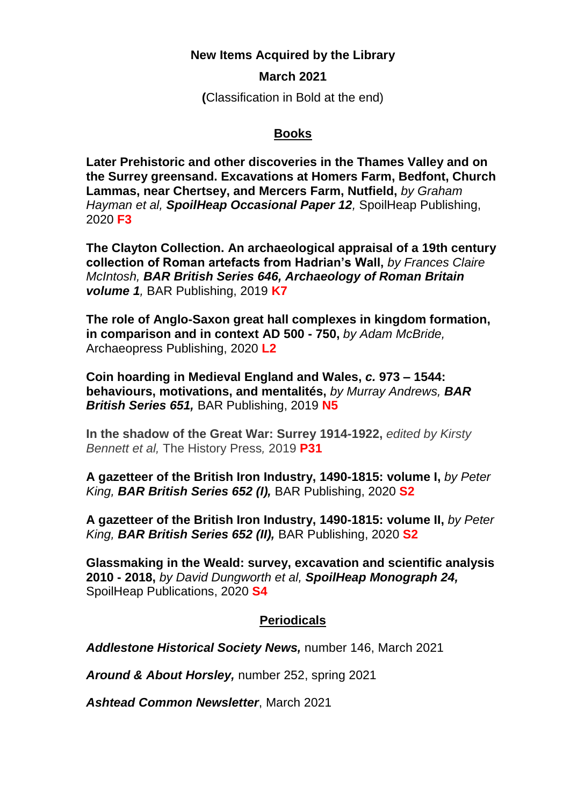## **New Items Acquired by the Library**

## **March 2021**

**(**Classification in Bold at the end)

## **Books**

**Later Prehistoric and other discoveries in the Thames Valley and on the Surrey greensand. Excavations at Homers Farm, Bedfont, Church Lammas, near Chertsey, and Mercers Farm, Nutfield,** *by Graham Hayman et al, SpoilHeap Occasional Paper 12,* SpoilHeap Publishing, 2020 **F3**

**The Clayton Collection. An archaeological appraisal of a 19th century collection of Roman artefacts from Hadrian's Wall,** *by Frances Claire McIntosh, BAR British Series 646, Archaeology of Roman Britain volume 1,* BAR Publishing, 2019 **K7**

**The role of Anglo-Saxon great hall complexes in kingdom formation, in comparison and in context AD 500 - 750,** *by Adam McBride,*  Archaeopress Publishing, 2020 **L2**

**Coin hoarding in Medieval England and Wales,** *c.* **973 – 1544: behaviours, motivations, and mentalités,** *by Murray Andrews, BAR British Series 651,* BAR Publishing, 2019 **N5**

**In the shadow of the Great War: Surrey 1914-1922,** *edited by Kirsty Bennett et al,* The History Press*,* 2019 **P31**

**A gazetteer of the British Iron Industry, 1490-1815: volume I,** *by Peter King, BAR British Series 652 (I),* BAR Publishing, 2020 **S2**

**A gazetteer of the British Iron Industry, 1490-1815: volume II,** *by Peter King, BAR British Series 652 (II),* BAR Publishing, 2020 **S2**

**Glassmaking in the Weald: survey, excavation and scientific analysis 2010 - 2018,** *by David Dungworth et al, SpoilHeap Monograph 24,*  SpoilHeap Publications, 2020 **S4**

## **Periodicals**

*Addlestone Historical Society News,* number 146, March 2021

*Around & About Horsley,* number 252, spring 2021

*Ashtead Common Newsletter*, March 2021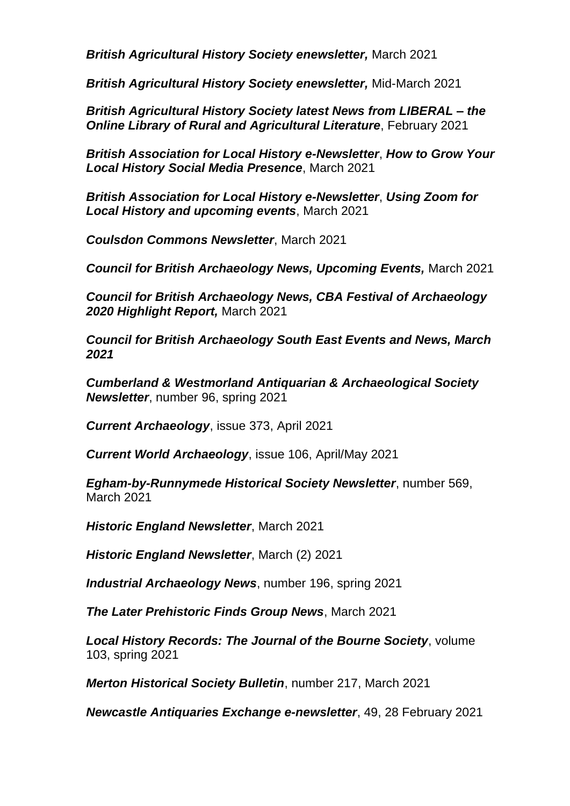*British Agricultural History Society enewsletter,* March 2021

*British Agricultural History Society enewsletter,* Mid-March 2021

*British Agricultural History Society latest News from LIBERAL – the Online Library of Rural and Agricultural Literature*, February 2021

*British Association for Local History e-Newsletter*, *How to Grow Your Local History Social Media Presence*, March 2021

*British Association for Local History e-Newsletter*, *Using Zoom for Local History and upcoming events*, March 2021

*Coulsdon Commons Newsletter*, March 2021

*Council for British Archaeology News, Upcoming Events,* March 2021

*Council for British Archaeology News, CBA Festival of Archaeology 2020 Highlight Report,* March 2021

*Council for British Archaeology South East Events and News, March 2021*

*Cumberland & Westmorland Antiquarian & Archaeological Society Newsletter*, number 96, spring 2021

*Current Archaeology*, issue 373, April 2021

*Current World Archaeology*, issue 106, April/May 2021

*Egham-by-Runnymede Historical Society Newsletter*, number 569, March 2021

*Historic England Newsletter*, March 2021

*Historic England Newsletter*, March (2) 2021

*Industrial Archaeology News*, number 196, spring 2021

*The Later Prehistoric Finds Group News*, March 2021

*Local History Records: The Journal of the Bourne Society*, volume 103, spring 2021

*Merton Historical Society Bulletin*, number 217, March 2021

*Newcastle Antiquaries Exchange e-newsletter*, 49, 28 February 2021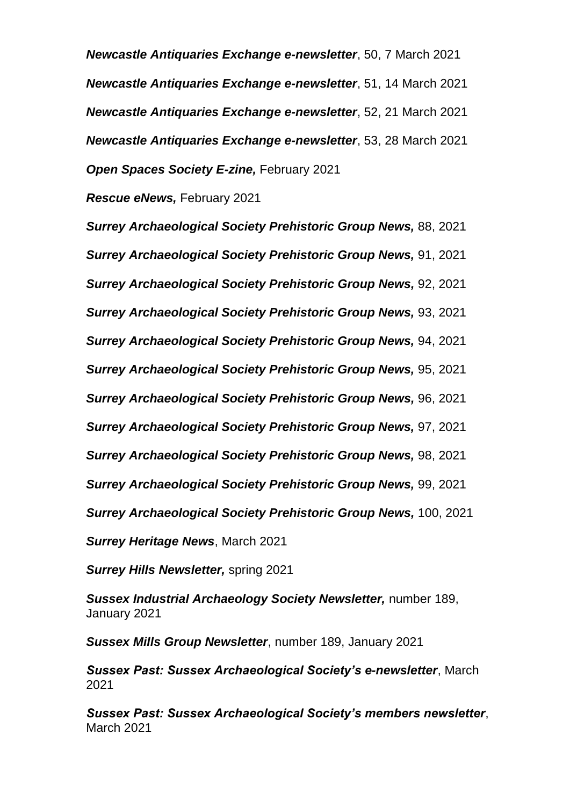*Newcastle Antiquaries Exchange e-newsletter*, 50, 7 March 2021 *Newcastle Antiquaries Exchange e-newsletter*, 51, 14 March 2021 *Newcastle Antiquaries Exchange e-newsletter*, 52, 21 March 2021 *Newcastle Antiquaries Exchange e-newsletter*, 53, 28 March 2021 *Open Spaces Society E-zine,* February 2021

*Rescue eNews,* February 2021

*Surrey Archaeological Society Prehistoric Group News,* 88, 2021 *Surrey Archaeological Society Prehistoric Group News,* 91, 2021 *Surrey Archaeological Society Prehistoric Group News,* 92, 2021 *Surrey Archaeological Society Prehistoric Group News,* 93, 2021 *Surrey Archaeological Society Prehistoric Group News,* 94, 2021 *Surrey Archaeological Society Prehistoric Group News,* 95, 2021 *Surrey Archaeological Society Prehistoric Group News,* 96, 2021 *Surrey Archaeological Society Prehistoric Group News,* 97, 2021 *Surrey Archaeological Society Prehistoric Group News,* 98, 2021 *Surrey Archaeological Society Prehistoric Group News,* 99, 2021 *Surrey Archaeological Society Prehistoric Group News,* 100, 2021 *Surrey Heritage News*, March 2021

*Surrey Hills Newsletter,* spring 2021

*Sussex Industrial Archaeology Society Newsletter,* number 189, January 2021

*Sussex Mills Group Newsletter*, number 189, January 2021

*Sussex Past: Sussex Archaeological Society's e-newsletter*, March 2021

*Sussex Past: Sussex Archaeological Society's members newsletter*, March 2021